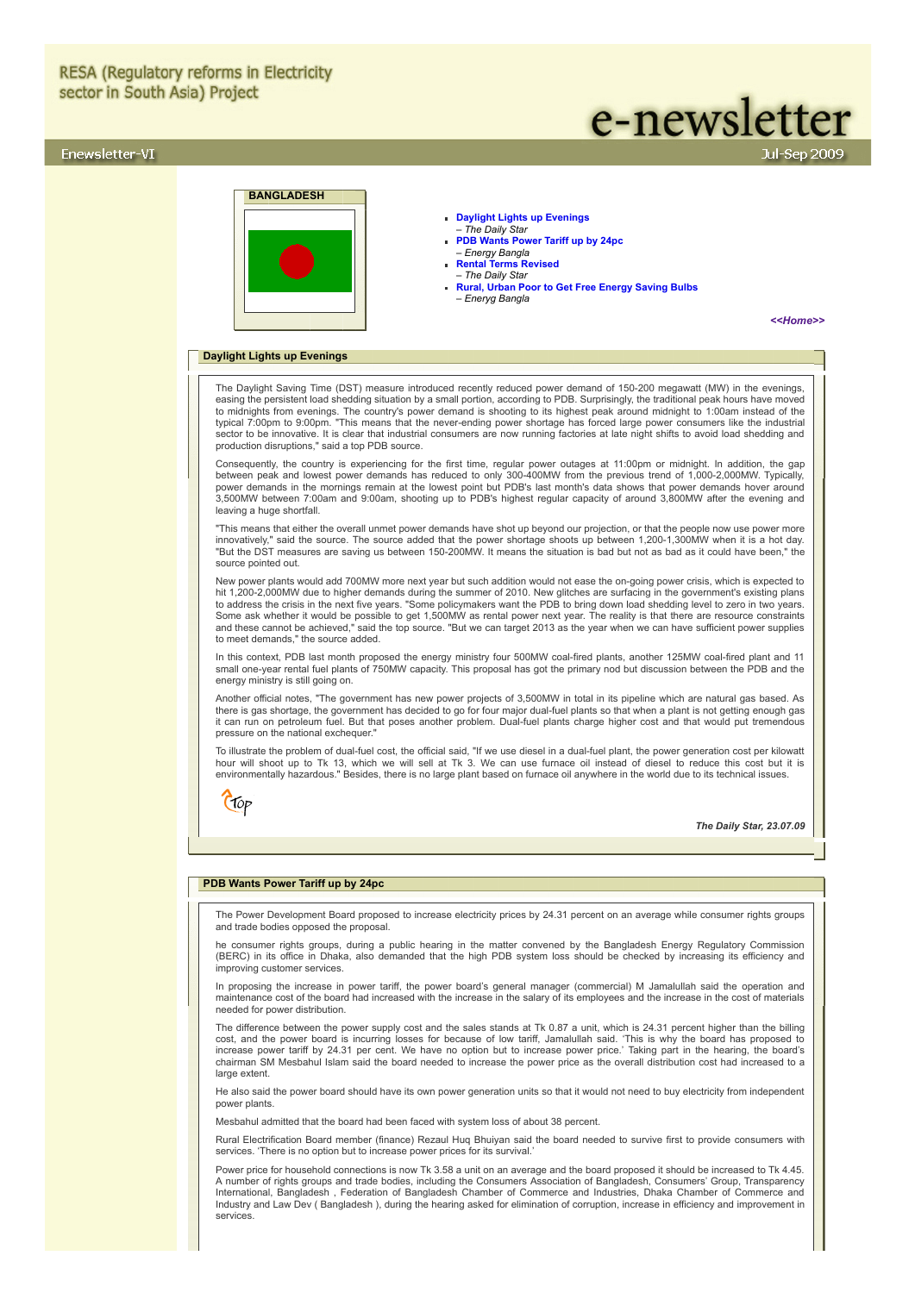# **RESA (Regulatory reforms in Electricity** sector in South Asia) Project

# Enewsletter-VI

# e-newsletter

**BANGLADESH**

- **[Daylight Lights up Evenings](#page-0-0)** – *The Daily Star*
	- **[PDB Wants Power Tariff up by 24pc](#page-0-1)**
	- *Energy Bangla* **[Rental Terms Revised](#page-1-0)**
	- *The Daily Star*
	- **[Rural, Urban Poor to Get Free Energy Saving Bulbs](#page-1-1)**
	- *Eneryg Bangla*

*[<<Home>>](file:///D:/KSH/Websites/RESA/RESA-Enews-VI.htm)*

# <span id="page-0-0"></span>**Daylight Lights up Evenings**

The Daylight Saving Time (DST) measure introduced recently reduced power demand of 150-200 megawatt (MW) in the evenings, easing the persistent load shedding situation by a small portion, according to PDB. Surprisingly, the traditional peak hours have moved<br>to midnights from evenings. The country's power demand is shooting to its highest peak sector to be innovative. It is clear that industrial consumers are now running factories at late night shifts to avoid load shedding and production disruptions," said a top PDB source.

Consequently, the country is experiencing for the first time, regular power outages at 11:00pm or midnight. In addition, the gap<br>between peak and lowest power demands has reduced to only 300-400MW from the previous trend o 3,500MW between 7:00am and 9:00am, shooting up to PDB's highest regular capacity of around 3,800MW after the evening and leaving a huge shortfall.

"This means that either the overall unmet power demands have shot up beyond our projection, or that the people now use power more<br>innovatively," said the source. The source added that the power shortage shoots up between 1 "But the DST measures are saving us between 150-200MW. It means the situation is bad but not as bad as it could have been," the source pointed out.

New power plants would add 700MW more next year but such addition would not ease the on-going power crisis, which is expected to hit 1,200-2,000MW due to higher demands during the summer of 2010. New glitches are surfacing in the government's existing plans<br>to address the crisis in the next five years. "Some policymakers want the PDB to bring down l and these cannot be achieved," said the top source. "But we can target 2013 as the year when we can have sufficient power supplies to meet demands," the source added.

In this context, PDB last month proposed the energy ministry four 500MW coal-fired plants, another 125MW coal-fired plant and 11<br>small one-year rental fuel plants of 750MW capacity. This proposal has got the primary nod bu energy ministry is still going on.

Another official notes, "The government has new power projects of 3,500MW in total in its pipeline which are natural gas based. As there is gas shortage, the government has decided to go for four major dual-fuel plants so that when a plant is not getting enough gas it can run on petroleum fuel. But that poses another problem. Dual-fuel plants charge higher cost and that would put tremendous pressure on the national exchequer.

To illustrate the problem of dual-fuel cost, the official said, "If we use diesel in a dual-fuel plant, the power generation cost per kilowatt hour will shoot up to Tk 13, which we will sell at Tk 3. We can use furnace oil instead of diesel to reduce this cost but it is environmentally hazardous." Besides, there is no large plant based on furnace oil anywhere in the world due to its technical issues.



*The Daily Star, 23.07.09*

# <span id="page-0-1"></span>**PDB Wants Power Tariff up by 24pc**

The Power Development Board proposed to increase electricity prices by 24.31 percent on an average while consumer rights groups and trade bodies opposed the proposal.

he consumer rights groups, during a public hearing in the matter convened by the Bangladesh Energy Regulatory Commission<br>(BERC) in its office in Dhaka, also demanded that the high PDB system loss should be checked by incre improving customer services.

In proposing the increase in power tariff, the power board's general manager (commercial) M Jamalullah said the operation and maintenance cost of the board had increased with the increase in the salary of its employees and the increase in the cost of materials needed for power distribution.

The difference between the power supply cost and the sales stands at Tk 0.87 a unit, which is 24.31 percent higher than the billing<br>cost, and the power board is incurring losses for because of low tariff, Jamalullah said. chairman SM Mesbahul Islam said the board needed to increase the power price as the overall distribution cost had increased to a large extent.

He also said the power board should have its own power generation units so that it would not need to buy electricity from independent power plants.

Mesbahul admitted that the board had been faced with system loss of about 38 percent.

Rural Electrification Board member (finance) Rezaul Huq Bhuiyan said the board needed to survive first to provide consumers with services. 'There is no option but to increase power prices for its survival.'

Power price for household connections is now Tk 3.58 a unit on an average and the board proposed it should be increased to Tk 4.45. A number of rights groups and trade bodies, including the Consumers Association of Bangladesh, Consumers' Group, Transparency International, Bangladesh , Federation of Bangladesh Chamber of Commerce and Industries, Dhaka Chamber of Commerce and Industry and Law Dev ( Bangladesh ), during the hearing asked for elimination of corruption, increase in efficiency and improvement in services.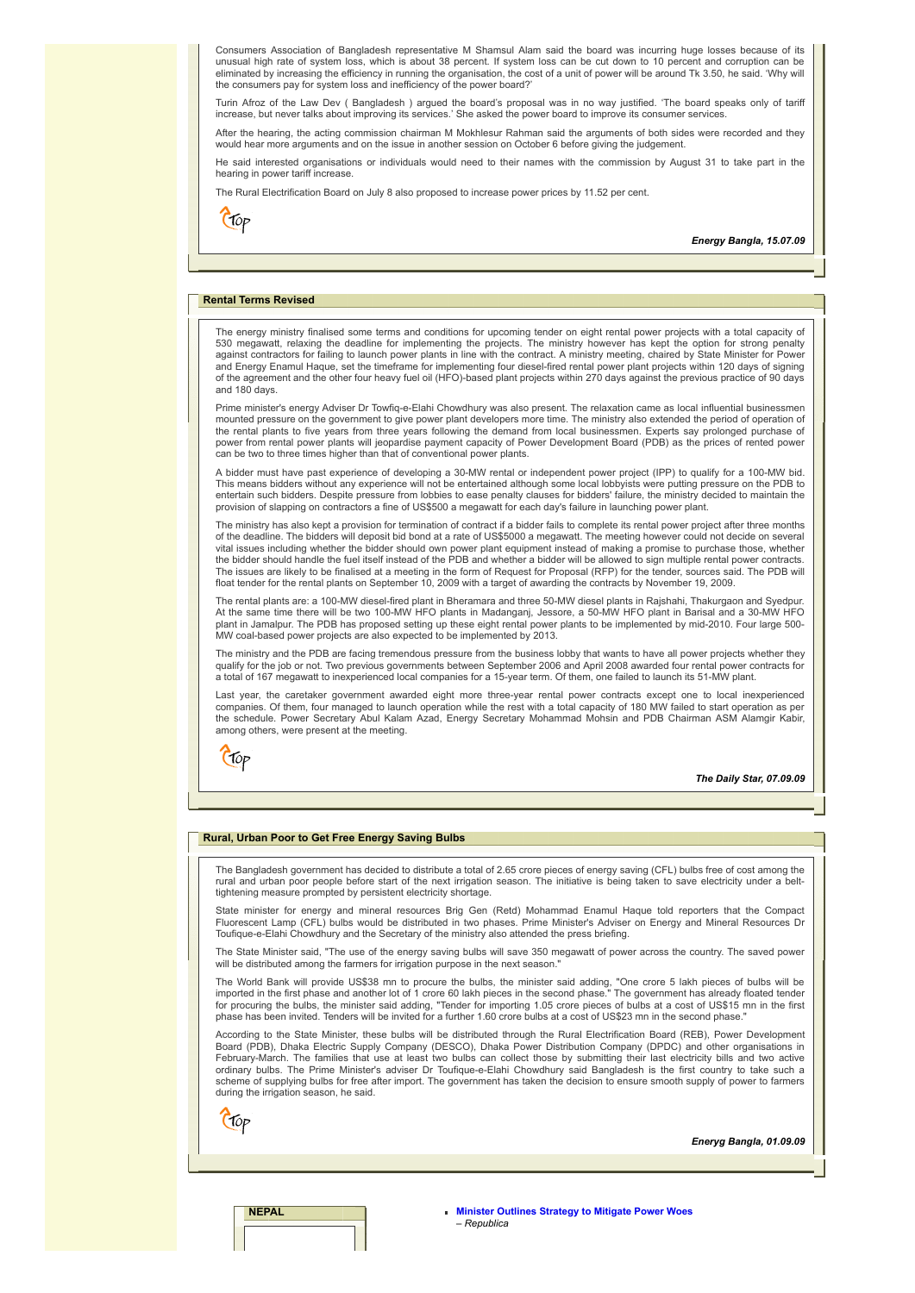Consumers Association of Bangladesh representative M Shamsul Alam said the board was incurring huge losses because of its unusual high rate of system loss, which is about 38 percent. If system loss can be cut down to 10 percent and corruption can be eliminated by increasing the efficiency in running the organisation, the cost of a unit of power will be around Tk 3.50, he said. 'Why will the consumers pay for system loss and inefficiency of the power board?'

Turin Afroz of the Law Dev ( Bangladesh ) argued the board's proposal was in no way justified. 'The board speaks only of tariff increase, but never talks about improving its services.' She asked the power board to improve its consumer services.

After the hearing, the acting commission chairman M Mokhlesur Rahman said the arguments of both sides were recorded and they would hear more arguments and on the issue in another session on October 6 before giving the judgement.

He said interested organisations or individuals would need to their names with the commission by August 31 to take part in the hearing in power tariff increase.

The Rural Electrification Board on July 8 also proposed to increase power prices by 11.52 per cent.

 $\epsilon$  top

*Energy Bangla, 15.07.09*

#### <span id="page-1-0"></span>**Rental Terms Revised**

The energy ministry finalised some terms and conditions for upcoming tender on eight rental power projects with a total capacity of<br>530 megawatt, relaxing the deadline for implementing the projects. The ministry however ha and Energy Enamul Haque, set the timeframe for implementing four diesel-fired rental power plant projects within 120 days of signing of the agreement and the other four heavy fuel oil (HFO)-based plant projects within 270 days against the previous practice of 90 days and 180 days.

Prime minister's energy Adviser Dr Towfiq-e-Elahi Chowdhury was also present. The relaxation came as local influential businessmen<br>mounted pressure on the government to give power plant developers more time. The ministry a the rental plants to five years from three years following the demand from local businessmen. Experts say prolonged purchase of power from rental power plants will jeopardise payment capacity of Power Development Board (PDB) as the prices of rented power can be two to three times higher than that of conventional power plants.

A bidder must have past experience of developing a 30-MW rental or independent power project (IPP) to qualify for a 100-MW bid. This means bidders without any experience will not be entertained although some local lobbyists were putting pressure on the PDB to entertain such bidders. Despite pressure from lobbies to ease penalty clauses for bidders' failure, the ministry decided to maintain the provision of slapping on contractors a fine of US\$500 a megawatt for each day's failure in launching power plant.

The ministry has also kept a provision for termination of contract if a bidder fails to complete its rental power project after three months of the deadline. The bidders will deposit bid bond at a rate of US\$5000 a megawatt. The meeting however could not decide on several<br>vital issues including whether the bidder should own power plant equipment instead of maki the bidder should handle the fuel itself instead of the PDB and whether a bidder will be allowed to sign multiple rental power contracts. The issues are likely to be finalised at a meeting in the form of Request for Proposal (RFP) for the tender, sources said. The PDB will<br>float tender for the rental plants on September 10, 2009 with a target of awarding the

The rental plants are: a 100-MW diesel-fired plant in Bheramara and three 50-MW diesel plants in Rajshahi, Thakurgaon and Syedpur. At the same time there will be two 100-MW HFO plants in Madanganj, Jessore, a 50-MW HFO plant in Barisal and a 30-MW HFO plant in Jamalpur. The PDB has proposed setting up these eight rental power plants to be implemented by mid-2010. Four large 500- MW coal-based power projects are also expected to be implemented by 2013.

The ministry and the PDB are facing tremendous pressure from the business lobby that wants to have all power projects whether they qualify for the job or not. Two previous governments between September 2006 and April 2008 awarded four rental power contracts for a total of 167 megawatt to inexperienced local companies for a 15-year term. Of them, one failed to launch its 51-MW plant.

Last year, the caretaker government awarded eight more three-year rental power contracts except one to local inexperienced companies. Of them, four managed to launch operation while the rest with a total capacity of 180 MW failed to start operation as per the schedule. Power Secretary Abul Kalam Azad, Energy Secretary Mohammad Mohsin and PDB Chairman ASM Alamgir Kabir, among others, were present at the meeting.



*The Daily Star, 07.09.09*

#### <span id="page-1-1"></span>**Rural, Urban Poor to Get Free Energy Saving Bulbs**

The Bangladesh government has decided to distribute a total of 2.65 crore pieces of energy saving (CFL) bulbs free of cost among the rural and urban poor people before start of the next irrigation season. The initiative is being taken to save electricity under a belttightening measure prompted by persistent electricity shortage.

State minister for energy and mineral resources Brig Gen (Retd) Mohammad Enamul Haque told reporters that the Compact<br>Fluorescent Lamp (CFL) bulbs would be distributed in two phases. Prime Minister's Adviser on Energy and Toufique-e-Elahi Chowdhury and the Secretary of the ministry also attended the press briefing.

The State Minister said, "The use of the energy saving bulbs will save 350 megawatt of power across the country. The saved power will be distributed among the farmers for irrigation purpose in the next season.

The World Bank will provide US\$38 mn to procure the bulbs, the minister said adding, "One crore 5 lakh pieces of bulbs will be<br>imported in the first phase and another lot of 1 crore 60 lakh pieces in the second phase." The phase has been invited. Tenders will be invited for a further 1.60 crore bulbs at a cost of US\$23 mn in the second phase

According to the State Minister, these bulbs will be distributed through the Rural Electrification Board (REB), Power Development Board (PDB), Dhaka Electric Supply Company (DESCO), Dhaka Power Distribution Company (DPDC) and other organisations in February-March. The families that use at least two bulbs can collect those by submitting their last electricity bills and two active<br>ordinary bulbs. The Prime Minister's adviser Dr Toufique-e-Elahi Chowdhury said Banglades scheme of supplying bulbs for free after import. The government has taken the decision to ensure smooth supply of power to farmers during the irrigation season, he said.

Ctop

*Eneryg Bangla, 01.09.09*

**NEPAL [Minister Outlines Strategy to Mitigate Power Woes](#page-2-0)**  – *Republica*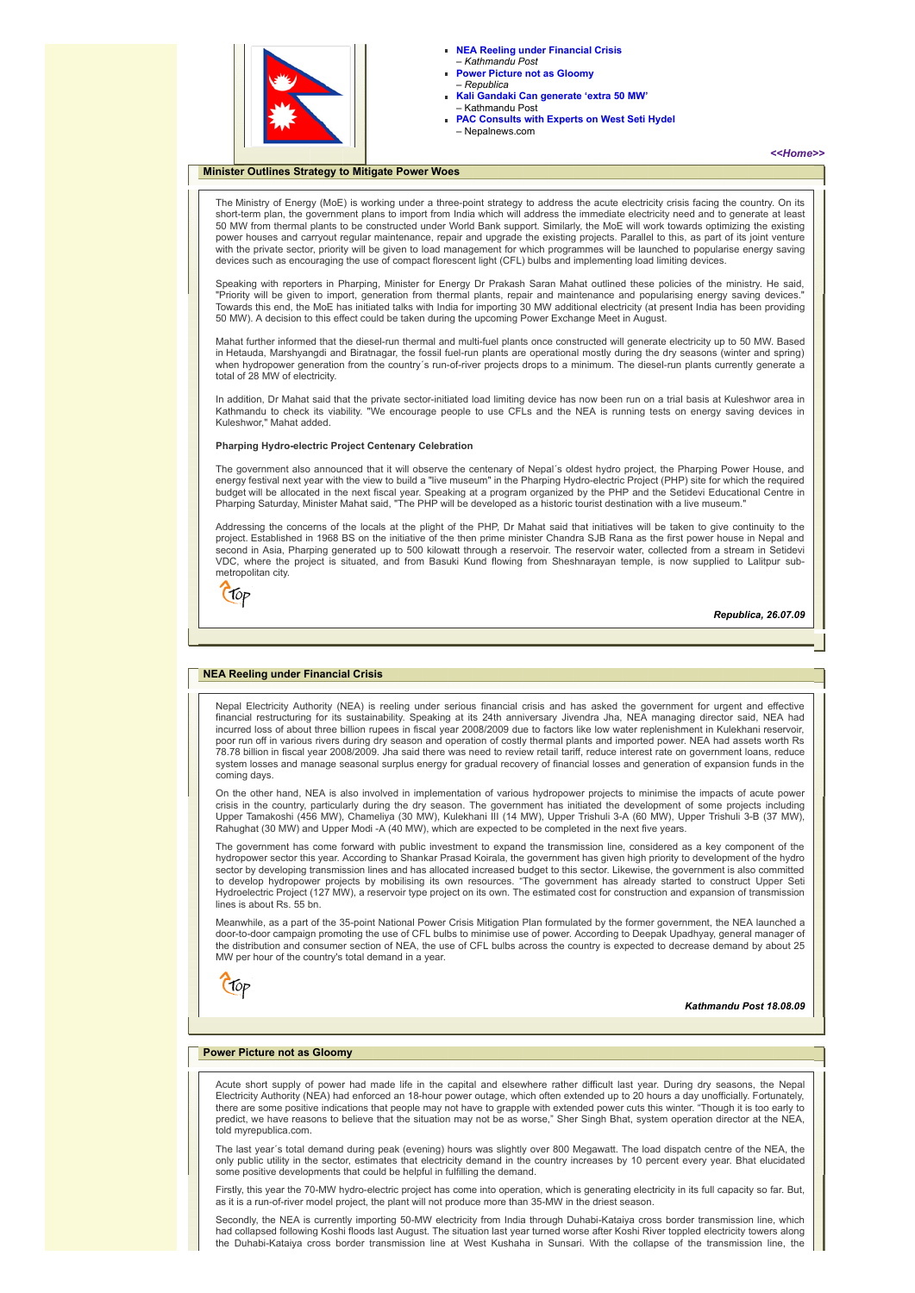

- **[NEA Reeling under Financial Crisis](#page-2-1)**
- *Kathmandu Post* **[Power Picture not as Gloomy](#page-2-2)**  – *Republica*
- **[Kali Gandaki Can generate 'extra 50 MW'](#page-3-0)** – Kathmandu Post
- **[PAC Consults with Experts on West Seti Hydel](#page-3-1)**  – Nepalnews.com

# <span id="page-2-0"></span>**Minister Outlines Strategy to Mitigate Power Woes**

*[<<Home>>](file:///D:/KSH/Websites/RESA/RESA-Enews-VI.htm)*

The Ministry of Energy (MoE) is working under a three-point strategy to address the acute electricity crisis facing the country. On its short-term plan, the government plans to import from India which will address the immediate electricity need and to generate at least<br>50 MW from thermal plants to be constructed under World Bank support. Similarly, the MoE power houses and carryout regular maintenance, repair and upgrade the existing projects. Parallel to this, as part of its joint venture with the private sector, priority will be given to load management for which programmes will be launched to popularise energy saving devices such as encouraging the use of compact florescent light (CFL) bulbs and implementing load limiting devices.

Speaking with reporters in Pharping, Minister for Energy Dr Prakash Saran Mahat outlined these policies of the ministry. He said, "Priority will be given to import, generation from thermal plants, repair and maintenance and popularising energy saving devices."<br>Towards this end, the MoE has initiated talks with India for importing 30 MW additional ele 50 MW). A decision to this effect could be taken during the upcoming Power Exchange Meet in August.

Mahat further informed that the diesel-run thermal and multi-fuel plants once constructed will generate electricity up to 50 MW. Based in Hetauda, Marshyangdi and Biratnagar, the fossil fuel-run plants are operational mostly during the dry seasons (winter and spring) when hydropower generation from the country´s run-of-river projects drops to a minimum. The diesel-run plants currently generate a total of 28 MW of electricity.

In addition, Dr Mahat said that the private sector-initiated load limiting device has now been run on a trial basis at Kuleshwor area in Kathmandu to check its viability. "We encourage people to use CFLs and the NEA is running tests on energy saving devices in Kuleshwor," Mahat added.

#### **Pharping Hydro-electric Project Centenary Celebration**

The government also announced that it will observe the centenary of Nepal´s oldest hydro project, the Pharping Power House, and energy festival next year with the view to build a "live museum" in the Pharping Hydro-electric Project (PHP) site for which the required budget will be allocated in the next fiscal year. Speaking at a program organized by the PHP and the Setidevi Educational Centre in Pharping Saturday, Minister Mahat said, "The PHP will be developed as a historic tourist destination with a live museum."

Addressing the concerns of the locals at the plight of the PHP, Dr Mahat said that initiatives will be taken to give continuity to the project. Established in 1968 BS on the initiative of the then prime minister Chandra SJB Rana as the first power house in Nepal and second in Asia, Pharping generated up to 500 kilowatt through a reservoir. The reservoir water, collected from a stream in Setidevi VDC, where the project is situated, and from Basuki Kund flowing from Sheshnarayan temple, is now supplied to Lalitpur submetropolitan city.



*Republica, 26.07.09*

#### <span id="page-2-1"></span>**NEA Reeling under Financial Crisis**

Nepal Electricity Authority (NEA) is reeling under serious financial crisis and has asked the government for urgent and effective financial restructuring for its sustainability. Speaking at its 24th anniversary Jivendra Jha, NEA managing director said, NEA had<br>incurred loss of about three billion rupees in fiscal year 2008/2009 due to factors like lo poor run off in various rivers during dry season and operation of costly thermal plants and imported power. NEA had assets worth Rs 78.78 billion in fiscal year 2008/2009. Jha said there was need to review retail tariff, reduce interest rate on government loans, reduce system losses and manage seasonal surplus energy for gradual recovery of financial losses and generation of expansion funds in the coming days.

On the other hand, NEA is also involved in implementation of various hydropower projects to minimise the impacts of acute power crisis in the country, particularly during the dry season. The government has initiated the development of some projects including Upper Tamakoshi (456 MW), Chameliya (30 MW), Kulekhani III (14 MW), Upper Trishuli 3-A (60 MW), Upper Trishuli 3-B (37 MW), Rahughat (30 MW) and Upper Modi -A (40 MW), which are expected to be completed in the next five years.

The government has come forward with public investment to expand the transmission line, considered as a key component of the hydropower sector this year. According to Shankar Prasad Koirala, the government has given high priority to development of the hydro sector by developing transmission lines and has allocated increased budget to this sector. Likewise, the government is also committed<br>to develop hydropower projects by mobilising its own resources. "The government has alre lines is about Rs. 55 bn.

Meanwhile, as a part of the 35-point National Power Crisis Mitigation Plan formulated by the former government, the NEA launched a door-to-door campaign promoting the use of CFL bulbs to minimise use of power. According to Deepak Upadhyay, general manager of the distribution and consumer section of NEA, the use of CFL bulbs across the country is expected to decrease demand by about 25 MW per hour of the country's total demand in a year.



*Kathmandu Post 18.08.09*

# <span id="page-2-2"></span>**Power Picture not as Gloomy**

Acute short supply of power had made life in the capital and elsewhere rather difficult last year. During dry seasons, the Nepal Electricity Authority (NEA) had enforced an 18-hour power outage, which often extended up to 20 hours a day unofficially. Fortunately,<br>there are some positive indications that people may not have to grapple with extended p predict, we have reasons to believe that the situation may not be as worse," Sher Singh Bhat, system operation director at the NEA, told myrepublica.com.

The last year´s total demand during peak (evening) hours was slightly over 800 Megawatt. The load dispatch centre of the NEA, the only public utility in the sector, estimates that electricity demand in the country increases by 10 percent every year. Bhat elucidated some positive developments that could be helpful in fulfilling the demand.

Firstly, this year the 70-MW hydro-electric project has come into operation, which is generating electricity in its full capacity so far. But, as it is a run-of-river model project, the plant will not produce more than 35-MW in the driest season.

Secondly, the NEA is currently importing 50-MW electricity from India through Duhabi-Kataiya cross border transmission line, which had collapsed following Koshi floods last August. The situation last year turned worse after Koshi River toppled electricity towers along the Duhabi-Kataiya cross border transmission line at West Kushaha in Sunsari. With the collapse of the transmission line, the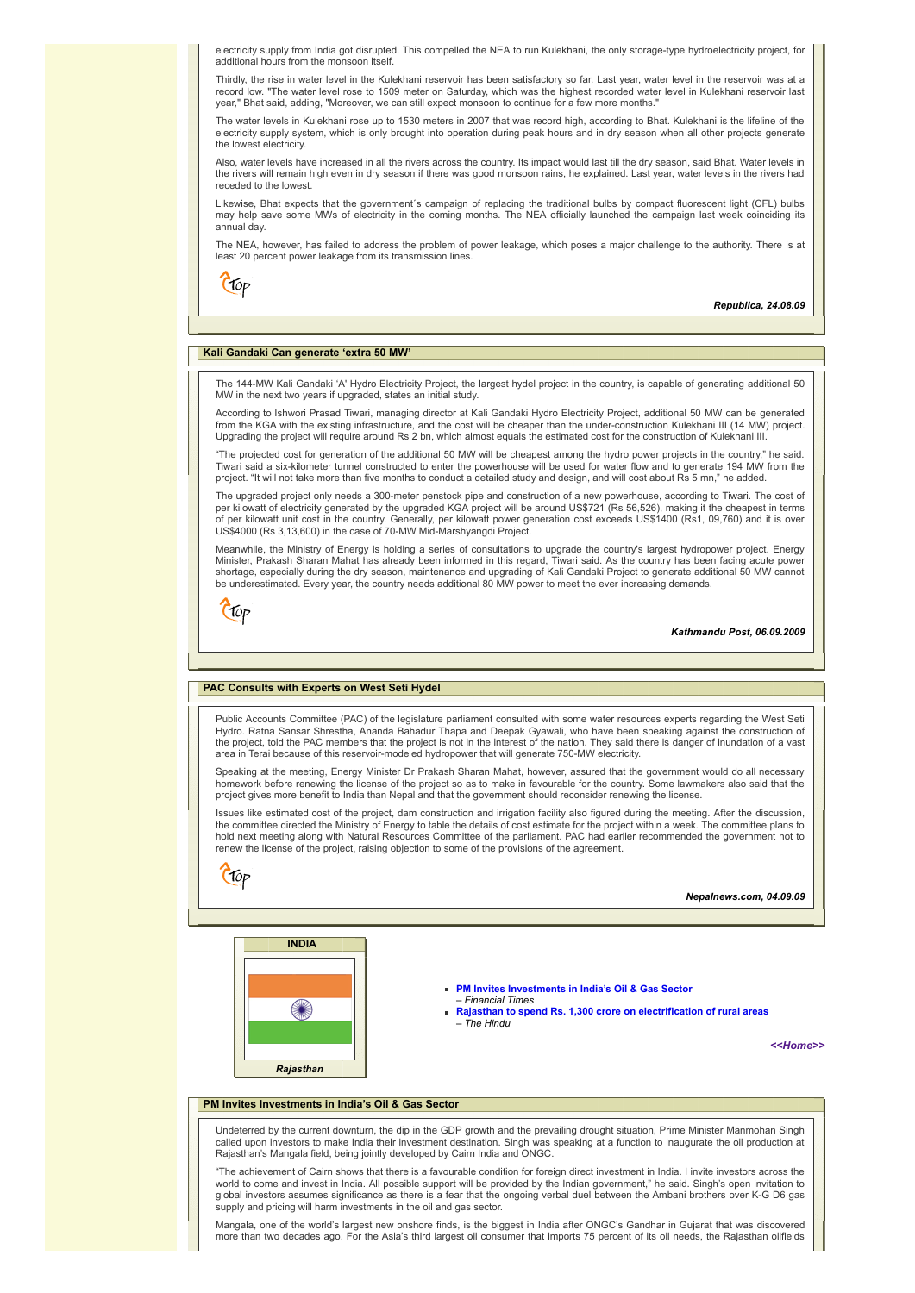electricity supply from India got disrupted. This compelled the NEA to run Kulekhani, the only storage-type hydroelectricity project, for additional hours from the monsoon itself.

Thirdly, the rise in water level in the Kulekhani reservoir has been satisfactory so far. Last year, water level in the reservoir was at a record low. "The water level rose to 1509 meter on Saturday, which was the highest recorded water level in Kulekhani reservoir last year," Bhat said, adding, "Moreover, we can still expect monsoon to continue for a few more months."

The water levels in Kulekhani rose up to 1530 meters in 2007 that was record high, according to Bhat. Kulekhani is the lifeline of the electricity supply system, which is only brought into operation during peak hours and in dry season when all other projects generate the lowest electricity.

Also, water levels have increased in all the rivers across the country. Its impact would last till the dry season, said Bhat. Water levels in the rivers will remain high even in dry season if there was good monsoon rains, he explained. Last year, water levels in the rivers had receded to the lowest.

Likewise, Bhat expects that the government´s campaign of replacing the traditional bulbs by compact fluorescent light (CFL) bulbs<br>may help save some MWs of electricity in the coming months. The NEA officially launched the annual day.

The NEA, however, has failed to address the problem of power leakage, which poses a major challenge to the authority. There is at least 20 percent power leakage from its transmission lines.

Ctop

*Republica, 24.08.09*

# <span id="page-3-0"></span>**Kali Gandaki Can generate 'extra 50 MW'**

The 144-MW Kali Gandaki 'A' Hydro Electricity Project, the largest hydel project in the country, is capable of generating additional 50 MW in the next two years if upgraded, states an initial study.

According to Ishwori Prasad Tiwari, managing director at Kali Gandaki Hydro Electricity Project, additional 50 MW can be generated from the KGA with the existing infrastructure, and the cost will be cheaper than the under-construction Kulekhani III (14 MW) project. Upgrading the project will require around Rs 2 bn, which almost equals the estimated cost for the construction of Kulekhani III.

"The projected cost for generation of the additional 50 MW will be cheapest among the hydro power projects in the country," he said.<br>Tiwari said a six-kilometer tunnel constructed to enter the powerhouse will be used for w project. "It will not take more than five months to conduct a detailed study and design, and will cost about Rs 5 mn," he added.

The upgraded project only needs a 300-meter penstock pipe and construction of a new powerhouse, according to Tiwari. The cost of per kilowatt of electricity generated by the upgraded KGA project will be around US\$721 (Rs 56,526), making it the cheapest in terms of per kilowatt unit cost in the country. Generally, per kilowatt power generation cost exceeds US\$1400 (Rs1, 09,760) and it is over<br>US\$4000 (Rs 3,13,600) in the case of 70-MW Mid-Marshyangdi Project.

Meanwhile, the Ministry of Energy is holding a series of consultations to upgrade the country's largest hydropower project. Energy<br>Minister, Prakash Sharan Mahat has already been informed in this regard, Tiwari said. As th shortage, especially during the dry season, maintenance and upgrading of Kali Gandaki Project to generate additional 50 MW cannot<br>be underestimated. Every year, the country needs additional 80 MW power to meet the ever inc



*Kathmandu Post, 06.09.2009*

#### <span id="page-3-1"></span>**PAC Consults with Experts on West Seti Hydel**

Public Accounts Committee (PAC) of the legislature parliament consulted with some water resources experts regarding the West Seti Hydro. Ratna Sansar Shrestha, Ananda Bahadur Thapa and Deepak Gyawali, who have been speaking against the construction of the project, told the PAC members that the project is not in the interest of the nation. They said there is danger of inundation of a vast area in Terai because of this reservoir-modeled hydropower that will generate 750-MW electricity.

Speaking at the meeting, Energy Minister Dr Prakash Sharan Mahat, however, assured that the government would do all necessary homework before renewing the license of the project so as to make in favourable for the country. Some lawmakers also said that the project gives more benefit to India than Nepal and that the government should reconsider renewing the license.

Issues like estimated cost of the project, dam construction and irrigation facility also figured during the meeting. After the discussion, the committee directed the Ministry of Energy to table the details of cost estimate for the project within a week. The committee plans to<br>hold next meeting along with Natural Resources Committee of the parliament. PAC had renew the license of the project, raising objection to some of the provisions of the agreement.

 $C$ fop

*Nepalnews.com, 04.09.09*



**[PM Invites Investments in India's Oil & Gas Sector](#page-3-2)** – *Financial Times*

**[Rajasthan to spend Rs. 1,300 crore on electrification of rural areas](#page-4-0)**  – *The Hindu*

*[<<Home>>](file:///D:/KSH/Websites/RESA/RESA-Enews-VI.htm)*

#### <span id="page-3-2"></span>**PM Invites Investments in India's Oil & Gas Sector**

Undeterred by the current downturn, the dip in the GDP growth and the prevailing drought situation, Prime Minister Manmohan Singh called upon investors to make India their investment destination. Singh was speaking at a function to inaugurate the oil production at Rajasthan's Mangala field, being jointly developed by Cairn India and ONGC.

"The achievement of Cairn shows that there is a favourable condition for foreign direct investment in India. I invite investors across the world to come and invest in India. All possible support will be provided by the Indian government," he said. Singh's open invitation to global investors assumes significance as there is a fear that the ongoing verbal duel between the Ambani brothers over K-G D6 gas supply and pricing will harm investments in the oil and gas sector.

Mangala, one of the world's largest new onshore finds, is the biggest in India after ONGC's Gandhar in Gujarat that was discovered more than two decades ago. For the Asia's third largest oil consumer that imports 75 percent of its oil needs, the Rajasthan oilfields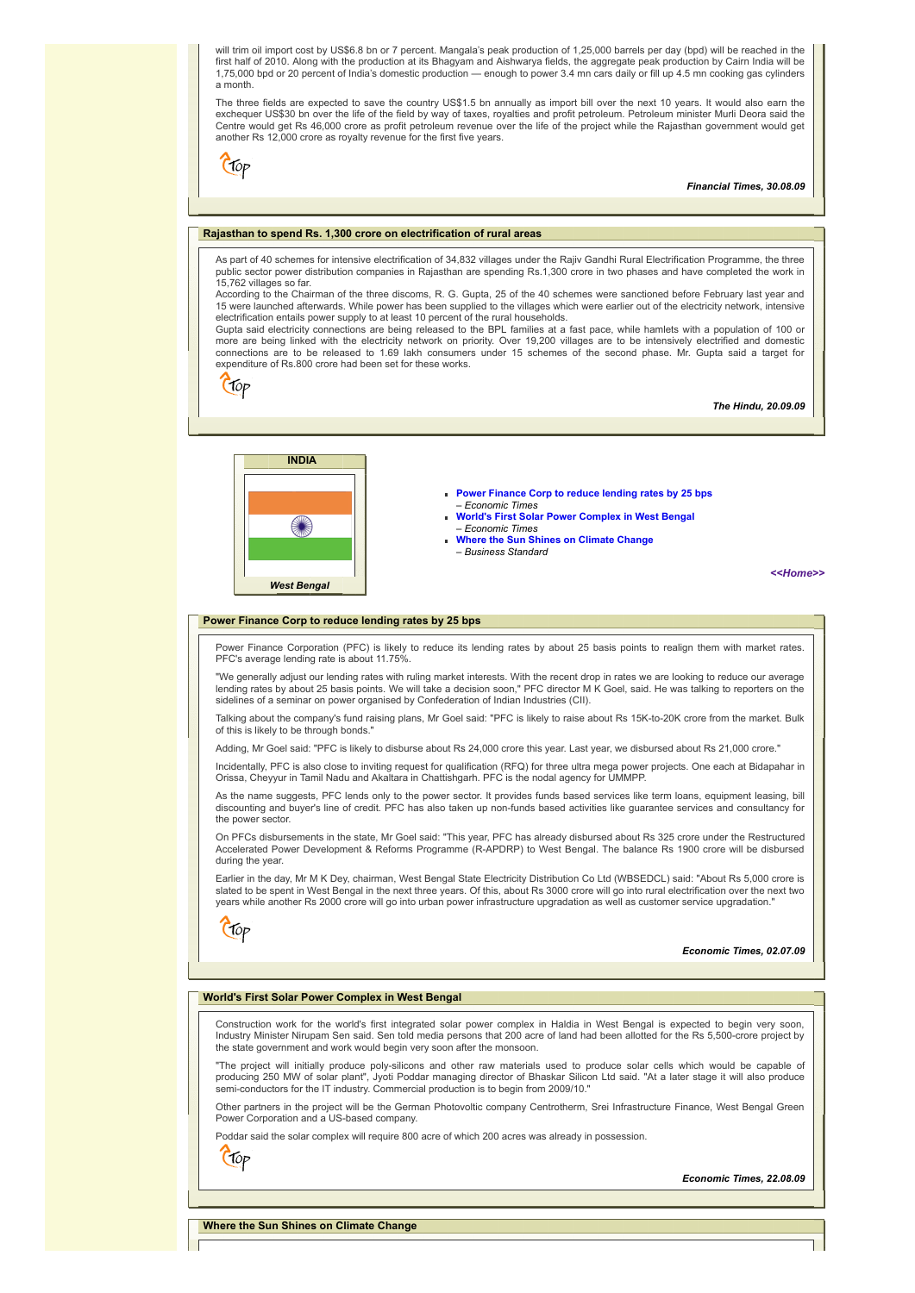will trim oil import cost by US\$6.8 bn or 7 percent. Mangala's peak production of 1,25,000 barrels per day (bpd) will be reached in the first half of 2010. Along with the production at its Bhagyam and Aishwarya fields, the aggregate peak production by Cairn India will be<br>1,75,000 bpd or 20 percent of India's domestic production — enough to power 3.4 mn car a month.

The three fields are expected to save the country US\$1.5 bn annually as import bill over the next 10 years. It would also earn the exchequer US\$30 bn over the life of the field by way of taxes, royalties and profit petroleum. Petroleum minister Murli Deora said the Centre would get Rs 46,000 crore as profit petroleum revenue over the life of the project while the Rajasthan government would get another Rs 12,000 crore as royalty revenue for the first five years.

Ctop

*Financial Times, 30.08.09*

# <span id="page-4-0"></span>**Rajasthan to spend Rs. 1,300 crore on electrification of rural areas**

As part of 40 schemes for intensive electrification of 34,832 villages under the Rajiv Gandhi Rural Electrification Programme, the three public sector power distribution companies in Rajasthan are spending Rs.1,300 crore in two phases and have completed the work in 15,762 villages so far.

According to the Chairman of the three discoms, R. G. Gupta, 25 of the 40 schemes were sanctioned before February last year and 15 were launched afterwards. While power has been supplied to the villages which were earlier out of the electricity network, intensive electrification entails power supply to at least 10 percent of the rural households.

Gupta said electricity connections are being released to the BPL families at a fast pace, while hamlets with a population of 100 or more are being linked with the electricity network on priority. Over 19,200 villages are to be intensively electrified and domestic connections are to be released to 1.69 lakh consumers under 15 schemes of the second phase. Mr. Gupta said a target for expenditure of Rs.800 crore had been set for these works.

Ctop

*The Hindu, 20.09.09*



- **[Power Finance Corp to reduce lending rates by 25 bps](#page-4-1)** – *Economic Times*
- **[World's First Solar Power Complex in West Bengal](#page-4-2)** – *Economic Times*
- **[Where the Sun Shines on Climate Change](#page-4-3)** – *Business Standard*

*[<<Home>>](file:///D:/KSH/Websites/RESA/RESA-Enews-VI.htm)*

#### <span id="page-4-1"></span>**Power Finance Corp to reduce lending rates by 25 bps**

Power Finance Corporation (PFC) is likely to reduce its lending rates by about 25 basis points to realign them with market rates. PFC's average lending rate is about 11.75%.

"We generally adjust our lending rates with ruling market interests. With the recent drop in rates we are looking to reduce our average lending rates by about 25 basis points. We will take a decision soon," PFC director M K Goel, said. He was talking to reporters on the sidelines of a seminar on power organised by Confederation of Indian Industries (CII).

Talking about the company's fund raising plans, Mr Goel said: "PFC is likely to raise about Rs 15K-to-20K crore from the market. Bulk of this is likely to be through bonds."

Adding, Mr Goel said: "PFC is likely to disburse about Rs 24,000 crore this year. Last year, we disbursed about Rs 21,000 crore."

Incidentally, PFC is also close to inviting request for qualification (RFQ) for three ultra mega power projects. One each at Bidapahar in Orissa, Cheyyur in Tamil Nadu and Akaltara in Chattishgarh. PFC is the nodal agency for UMMPP.

As the name suggests, PFC lends only to the power sector. It provides funds based services like term loans, equipment leasing, bill discounting and buyer's line of credit. PFC has also taken up non-funds based activities like guarantee services and consultancy for the power sector.

On PFCs disbursements in the state, Mr Goel said: "This year, PFC has already disbursed about Rs 325 crore under the Restructured Accelerated Power Development & Reforms Programme (R-APDRP) to West Bengal. The balance Rs 1900 crore will be disbursed during the year

Earlier in the day, Mr M K Dey, chairman, West Bengal State Electricity Distribution Co Ltd (WBSEDCL) said: "About Rs 5,000 crore is slated to be spent in West Bengal in the next three years. Of this, about Rs 3000 crore will go into rural electrification over the next two<br>years while another Rs 2000 crore will go into urban power infrastructure upgrada

Crop

*Economic Times, 02.07.09*

# <span id="page-4-2"></span>**World's First Solar Power Complex in West Bengal**

Construction work for the world's first integrated solar power complex in Haldia in West Bengal is expected to begin very soon, Industry Minister Nirupam Sen said. Sen told media persons that 200 acre of land had been allotted for the Rs 5,500-crore project by the state government and work would begin very soon after the monsoon.

"The project will initially produce poly-silicons and other raw materials used to produce solar cells which would be capable of producing 250 MW of solar plant", Jyoti Poddar managing director of Bhaskar Silicon Ltd said. "At a later stage it will also produce semi-conductors for the IT industry. Commercial production is to begin from 2009/10."

Other partners in the project will be the German Photovoltic company Centrotherm, Srei Infrastructure Finance, West Bengal Green Power Corporation and a US-based company.

Poddar said the solar complex will require 800 acre of which 200 acres was already in possession.

(Top

*Economic Times, 22.08.09*

<span id="page-4-3"></span>**Where the Sun Shines on Climate Change**